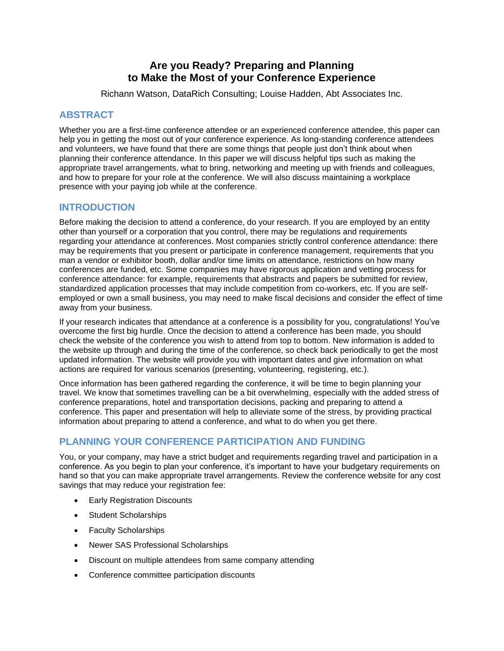## **Are you Ready? Preparing and Planning to Make the Most of your Conference Experience**

Richann Watson, DataRich Consulting; Louise Hadden, Abt Associates Inc.

## **ABSTRACT**

Whether you are a first-time conference attendee or an experienced conference attendee, this paper can help you in getting the most out of your conference experience. As long-standing conference attendees and volunteers, we have found that there are some things that people just don't think about when planning their conference attendance. In this paper we will discuss helpful tips such as making the appropriate travel arrangements, what to bring, networking and meeting up with friends and colleagues, and how to prepare for your role at the conference. We will also discuss maintaining a workplace presence with your paying job while at the conference.

## **INTRODUCTION**

Before making the decision to attend a conference, do your research. If you are employed by an entity other than yourself or a corporation that you control, there may be regulations and requirements regarding your attendance at conferences. Most companies strictly control conference attendance: there may be requirements that you present or participate in conference management, requirements that you man a vendor or exhibitor booth, dollar and/or time limits on attendance, restrictions on how many conferences are funded, etc. Some companies may have rigorous application and vetting process for conference attendance: for example, requirements that abstracts and papers be submitted for review, standardized application processes that may include competition from co-workers, etc. If you are selfemployed or own a small business, you may need to make fiscal decisions and consider the effect of time away from your business.

If your research indicates that attendance at a conference is a possibility for you, congratulations! You've overcome the first big hurdle. Once the decision to attend a conference has been made, you should check the website of the conference you wish to attend from top to bottom. New information is added to the website up through and during the time of the conference, so check back periodically to get the most updated information. The website will provide you with important dates and give information on what actions are required for various scenarios (presenting, volunteering, registering, etc.).

Once information has been gathered regarding the conference, it will be time to begin planning your travel. We know that sometimes travelling can be a bit overwhelming, especially with the added stress of conference preparations, hotel and transportation decisions, packing and preparing to attend a conference. This paper and presentation will help to alleviate some of the stress, by providing practical information about preparing to attend a conference, and what to do when you get there.

## **PLANNING YOUR CONFERENCE PARTICIPATION AND FUNDING**

You, or your company, may have a strict budget and requirements regarding travel and participation in a conference. As you begin to plan your conference, it's important to have your budgetary requirements on hand so that you can make appropriate travel arrangements. Review the conference website for any cost savings that may reduce your registration fee:

- **Early Registration Discounts**
- Student Scholarships
- Faculty Scholarships
- Newer SAS Professional Scholarships
- Discount on multiple attendees from same company attending
- Conference committee participation discounts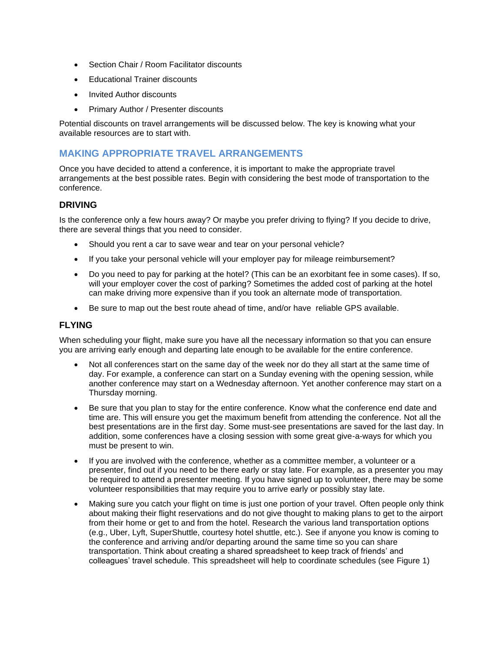- Section Chair / Room Facilitator discounts
- **Educational Trainer discounts**
- Invited Author discounts
- Primary Author / Presenter discounts

Potential discounts on travel arrangements will be discussed below. The key is knowing what your available resources are to start with.

### **MAKING APPROPRIATE TRAVEL ARRANGEMENTS**

Once you have decided to attend a conference, it is important to make the appropriate travel arrangements at the best possible rates. Begin with considering the best mode of transportation to the conference.

#### **DRIVING**

Is the conference only a few hours away? Or maybe you prefer driving to flying? If you decide to drive, there are several things that you need to consider.

- Should you rent a car to save wear and tear on your personal vehicle?
- If you take your personal vehicle will your employer pay for mileage reimbursement?
- Do you need to pay for parking at the hotel? (This can be an exorbitant fee in some cases). If so, will your employer cover the cost of parking? Sometimes the added cost of parking at the hotel can make driving more expensive than if you took an alternate mode of transportation.
- Be sure to map out the best route ahead of time, and/or have reliable GPS available.

#### **FLYING**

When scheduling your flight, make sure you have all the necessary information so that you can ensure you are arriving early enough and departing late enough to be available for the entire conference.

- Not all conferences start on the same day of the week nor do they all start at the same time of day. For example, a conference can start on a Sunday evening with the opening session, while another conference may start on a Wednesday afternoon. Yet another conference may start on a Thursday morning.
- Be sure that you plan to stay for the entire conference. Know what the conference end date and time are. This will ensure you get the maximum benefit from attending the conference. Not all the best presentations are in the first day. Some must-see presentations are saved for the last day. In addition, some conferences have a closing session with some great give-a-ways for which you must be present to win.
- If you are involved with the conference, whether as a committee member, a volunteer or a presenter, find out if you need to be there early or stay late. For example, as a presenter you may be required to attend a presenter meeting. If you have signed up to volunteer, there may be some volunteer responsibilities that may require you to arrive early or possibly stay late.
- Making sure you catch your flight on time is just one portion of your travel. Often people only think about making their flight reservations and do not give thought to making plans to get to the airport from their home or get to and from the hotel. Research the various land transportation options (e.g., Uber, Lyft, SuperShuttle, courtesy hotel shuttle, etc.). See if anyone you know is coming to the conference and arriving and/or departing around the same time so you can share transportation. Think about creating a shared spreadsheet to keep track of friends' and colleagues' travel schedule. This spreadsheet will help to coordinate schedules (see [Figure 1\)](#page-2-0)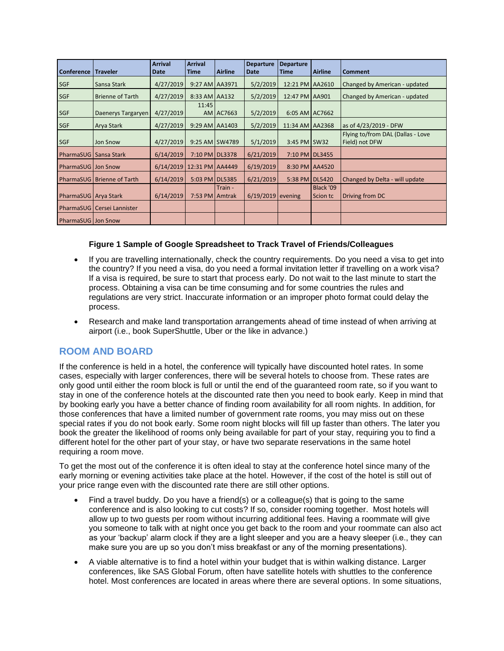| Conference             | <b>Traveler</b>              | <b>Arrival</b><br><b>Date</b> | <b>Arrival</b><br><b>Time</b> | <b>Airline</b> | <b>Departure</b><br><b>Date</b> | <b>Departure</b><br><b>Time</b> | <b>Airline</b>        | <b>Comment</b>                                      |
|------------------------|------------------------------|-------------------------------|-------------------------------|----------------|---------------------------------|---------------------------------|-----------------------|-----------------------------------------------------|
| <b>SGF</b>             | Sansa Stark                  | 4/27/2019                     | 9:27 AM AA3971                |                | 5/2/2019                        | 12:21 PM AA2610                 |                       | Changed by American - updated                       |
| <b>SGF</b>             | <b>Brienne of Tarth</b>      | 4/27/2019                     | 8:33 AM AA132                 |                | 5/2/2019                        | 12:47 PM AA901                  |                       | Changed by American - updated                       |
| <b>SGF</b>             | Daenerys Targaryen           | 4/27/2019                     | 11:45                         | AM AC7663      | 5/2/2019                        | 6:05 AM AC7662                  |                       |                                                     |
| <b>SGF</b>             | <b>Arya Stark</b>            | 4/27/2019                     | 9:29 AM AA1403                |                | 5/2/2019                        | 11:34 AM AA2368                 |                       | as of 4/23/2019 - DFW                               |
| <b>SGF</b>             | Jon Snow                     | 4/27/2019                     |                               | 9:25 AM SW4789 | 5/1/2019                        | 3:45 PM SW32                    |                       | Flying to/from DAL (Dallas - Love<br>Field) not DFW |
|                        | PharmaSUG   Sansa Stark      | 6/14/2019                     | 7:10 PM DL3378                |                | 6/21/2019                       | 7:10 PM DL3455                  |                       |                                                     |
| PharmaSUG Jon Snow     |                              | 6/14/2019 12:31 PM AA4449     |                               |                | 6/19/2019                       |                                 | 8:30 PM AA4520        |                                                     |
|                        | PharmaSUG   Brienne of Tarth | 6/14/2019                     | 5:03 PM DL5385                |                | 6/21/2019                       | 5:38 PM DL5420                  |                       | Changed by Delta - will update                      |
| PharmaSUG   Arya Stark |                              | 6/14/2019                     | 7:53 PM Amtrak                | Train -        | $6/19/2019$ evening             |                                 | Black '09<br>Scion tc | Driving from DC                                     |
|                        | PharmaSUG   Cersei Lannister |                               |                               |                |                                 |                                 |                       |                                                     |
| PharmaSUG   Jon Snow   |                              |                               |                               |                |                                 |                                 |                       |                                                     |

#### **Figure 1 Sample of Google Spreadsheet to Track Travel of Friends/Colleagues**

- <span id="page-2-0"></span>• If you are travelling internationally, check the country requirements. Do you need a visa to get into the country? If you need a visa, do you need a formal invitation letter if travelling on a work visa? If a visa is required, be sure to start that process early. Do not wait to the last minute to start the process. Obtaining a visa can be time consuming and for some countries the rules and regulations are very strict. Inaccurate information or an improper photo format could delay the process.
- Research and make land transportation arrangements ahead of time instead of when arriving at airport (i.e., book SuperShuttle, Uber or the like in advance.)

## **ROOM AND BOARD**

If the conference is held in a hotel, the conference will typically have discounted hotel rates. In some cases, especially with larger conferences, there will be several hotels to choose from. These rates are only good until either the room block is full or until the end of the guaranteed room rate, so if you want to stay in one of the conference hotels at the discounted rate then you need to book early. Keep in mind that by booking early you have a better chance of finding room availability for all room nights. In addition, for those conferences that have a limited number of government rate rooms, you may miss out on these special rates if you do not book early. Some room night blocks will fill up faster than others. The later you book the greater the likelihood of rooms only being available for part of your stay, requiring you to find a different hotel for the other part of your stay, or have two separate reservations in the same hotel requiring a room move.

To get the most out of the conference it is often ideal to stay at the conference hotel since many of the early morning or evening activities take place at the hotel. However, if the cost of the hotel is still out of your price range even with the discounted rate there are still other options.

- Find a travel buddy. Do you have a friend(s) or a colleague(s) that is going to the same conference and is also looking to cut costs? If so, consider rooming together. Most hotels will allow up to two guests per room without incurring additional fees. Having a roommate will give you someone to talk with at night once you get back to the room and your roommate can also act as your 'backup' alarm clock if they are a light sleeper and you are a heavy sleeper (i.e., they can make sure you are up so you don't miss breakfast or any of the morning presentations).
- A viable alternative is to find a hotel within your budget that is within walking distance. Larger conferences, like SAS Global Forum, often have satellite hotels with shuttles to the conference hotel. Most conferences are located in areas where there are several options. In some situations,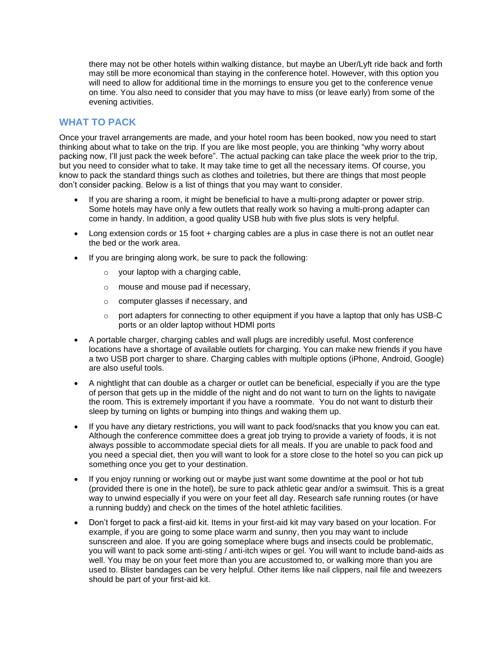there may not be other hotels within walking distance, but maybe an Uber/Lyft ride back and forth may still be more economical than staying in the conference hotel. However, with this option you will need to allow for additional time in the mornings to ensure you get to the conference venue on time. You also need to consider that you may have to miss (or leave early) from some of the evening activities.

### **WHAT TO PACK**

Once your travel arrangements are made, and your hotel room has been booked, now you need to start thinking about what to take on the trip. If you are like most people, you are thinking "why worry about packing now, I'll just pack the week before". The actual packing can take place the week prior to the trip, but you need to consider what to take. It may take time to get all the necessary items. Of course, you know to pack the standard things such as clothes and toiletries, but there are things that most people don't consider packing. Below is a list of things that you may want to consider.

- If you are sharing a room, it might be beneficial to have a multi-prong adapter or power strip. Some hotels may have only a few outlets that really work so having a multi-prong adapter can come in handy. In addition, a good quality USB hub with five plus slots is very helpful.
- Long extension cords or 15 foot + charging cables are a plus in case there is not an outlet near the bed or the work area.
- If you are bringing along work, be sure to pack the following:
	- $\circ$  your laptop with a charging cable,
	- o mouse and mouse pad if necessary,
	- o computer glasses if necessary, and
	- $\circ$  port adapters for connecting to other equipment if you have a laptop that only has USB-C ports or an older laptop without HDMI ports
- A portable charger, charging cables and wall plugs are incredibly useful. Most conference locations have a shortage of available outlets for charging. You can make new friends if you have a two USB port charger to share. Charging cables with multiple options (iPhone, Android, Google) are also useful tools.
- A nightlight that can double as a charger or outlet can be beneficial, especially if you are the type of person that gets up in the middle of the night and do not want to turn on the lights to navigate the room. This is extremely important if you have a roommate. You do not want to disturb their sleep by turning on lights or bumping into things and waking them up.
- If you have any dietary restrictions, you will want to pack food/snacks that you know you can eat. Although the conference committee does a great job trying to provide a variety of foods, it is not always possible to accommodate special diets for all meals. If you are unable to pack food and you need a special diet, then you will want to look for a store close to the hotel so you can pick up something once you get to your destination.
- If you enjoy running or working out or maybe just want some downtime at the pool or hot tub (provided there is one in the hotel), be sure to pack athletic gear and/or a swimsuit. This is a great way to unwind especially if you were on your feet all day. Research safe running routes (or have a running buddy) and check on the times of the hotel athletic facilities.
- Don't forget to pack a first-aid kit. Items in your first-aid kit may vary based on your location. For example, if you are going to some place warm and sunny, then you may want to include sunscreen and aloe. If you are going someplace where bugs and insects could be problematic, you will want to pack some anti-sting / anti-itch wipes or gel. You will want to include band-aids as well. You may be on your feet more than you are accustomed to, or walking more than you are used to. Blister bandages can be very helpful. Other items like nail clippers, nail file and tweezers should be part of your first-aid kit.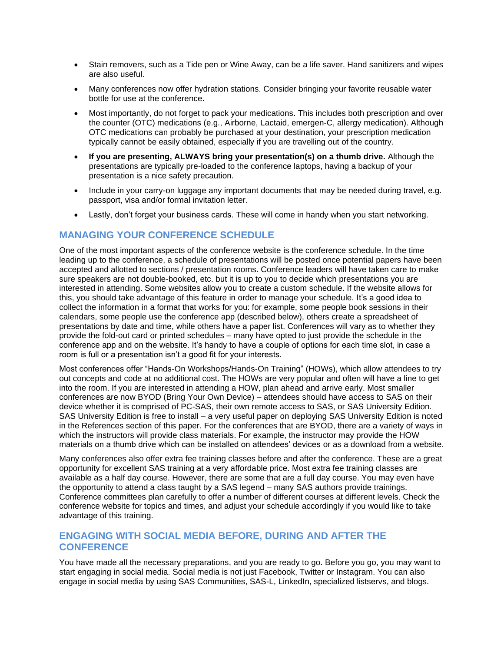- Stain removers, such as a Tide pen or Wine Away, can be a life saver. Hand sanitizers and wipes are also useful.
- Many conferences now offer hydration stations. Consider bringing your favorite reusable water bottle for use at the conference.
- Most importantly, do not forget to pack your medications. This includes both prescription and over the counter (OTC) medications (e.g., Airborne, Lactaid, emergen-C, allergy medication). Although OTC medications can probably be purchased at your destination, your prescription medication typically cannot be easily obtained, especially if you are travelling out of the country.
- **If you are presenting, ALWAYS bring your presentation(s) on a thumb drive.** Although the presentations are typically pre-loaded to the conference laptops, having a backup of your presentation is a nice safety precaution.
- Include in your carry-on luggage any important documents that may be needed during travel, e.g. passport, visa and/or formal invitation letter.
- Lastly, don't forget your business cards. These will come in handy when you start networking.

### **MANAGING YOUR CONFERENCE SCHEDULE**

One of the most important aspects of the conference website is the conference schedule. In the time leading up to the conference, a schedule of presentations will be posted once potential papers have been accepted and allotted to sections / presentation rooms. Conference leaders will have taken care to make sure speakers are not double-booked, etc. but it is up to you to decide which presentations you are interested in attending. Some websites allow you to create a custom schedule. If the website allows for this, you should take advantage of this feature in order to manage your schedule. It's a good idea to collect the information in a format that works for you: for example, some people book sessions in their calendars, some people use the conference app (described below), others create a spreadsheet of presentations by date and time, while others have a paper list. Conferences will vary as to whether they provide the fold-out card or printed schedules – many have opted to just provide the schedule in the conference app and on the website. It's handy to have a couple of options for each time slot, in case a room is full or a presentation isn't a good fit for your interests.

Most conferences offer "Hands-On Workshops/Hands-On Training" (HOWs), which allow attendees to try out concepts and code at no additional cost. The HOWs are very popular and often will have a line to get into the room. If you are interested in attending a HOW, plan ahead and arrive early. Most smaller conferences are now BYOD (Bring Your Own Device) – attendees should have access to SAS on their device whether it is comprised of PC-SAS, their own remote access to SAS, or SAS University Edition. SAS University Edition is free to install – a very useful paper on deploying SAS University Edition is noted in the References section of this paper. For the conferences that are BYOD, there are a variety of ways in which the instructors will provide class materials. For example, the instructor may provide the HOW materials on a thumb drive which can be installed on attendees' devices or as a download from a website.

Many conferences also offer extra fee training classes before and after the conference. These are a great opportunity for excellent SAS training at a very affordable price. Most extra fee training classes are available as a half day course. However, there are some that are a full day course. You may even have the opportunity to attend a class taught by a SAS legend – many SAS authors provide trainings. Conference committees plan carefully to offer a number of different courses at different levels. Check the conference website for topics and times, and adjust your schedule accordingly if you would like to take advantage of this training.

#### **ENGAGING WITH SOCIAL MEDIA BEFORE, DURING AND AFTER THE CONFERENCE**

You have made all the necessary preparations, and you are ready to go. Before you go, you may want to start engaging in social media. Social media is not just Facebook, Twitter or Instagram. You can also engage in social media by using SAS Communities, SAS-L, LinkedIn, specialized listservs, and blogs.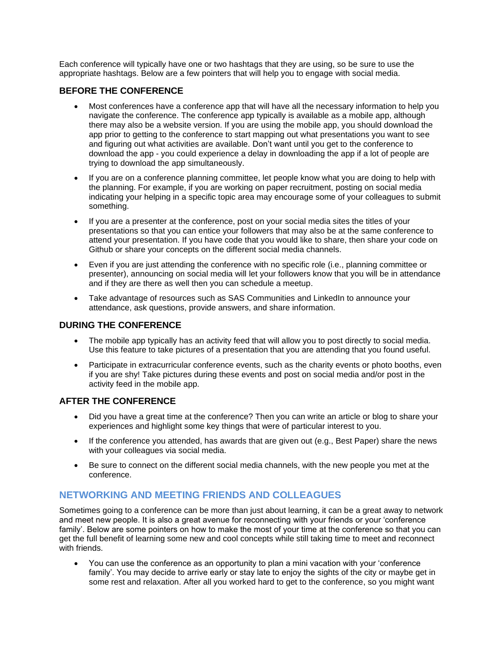Each conference will typically have one or two hashtags that they are using, so be sure to use the appropriate hashtags. Below are a few pointers that will help you to engage with social media.

#### **BEFORE THE CONFERENCE**

- Most conferences have a conference app that will have all the necessary information to help you navigate the conference. The conference app typically is available as a mobile app, although there may also be a website version. If you are using the mobile app, you should download the app prior to getting to the conference to start mapping out what presentations you want to see and figuring out what activities are available. Don't want until you get to the conference to download the app - you could experience a delay in downloading the app if a lot of people are trying to download the app simultaneously.
- If you are on a conference planning committee, let people know what you are doing to help with the planning. For example, if you are working on paper recruitment, posting on social media indicating your helping in a specific topic area may encourage some of your colleagues to submit something.
- If you are a presenter at the conference, post on your social media sites the titles of your presentations so that you can entice your followers that may also be at the same conference to attend your presentation. If you have code that you would like to share, then share your code on Github or share your concepts on the different social media channels.
- Even if you are just attending the conference with no specific role (i.e., planning committee or presenter), announcing on social media will let your followers know that you will be in attendance and if they are there as well then you can schedule a meetup.
- Take advantage of resources such as SAS Communities and LinkedIn to announce your attendance, ask questions, provide answers, and share information.

#### **DURING THE CONFERENCE**

- The mobile app typically has an activity feed that will allow you to post directly to social media. Use this feature to take pictures of a presentation that you are attending that you found useful.
- Participate in extracurricular conference events, such as the charity events or photo booths, even if you are shy! Take pictures during these events and post on social media and/or post in the activity feed in the mobile app.

#### **AFTER THE CONFERENCE**

- Did you have a great time at the conference? Then you can write an article or blog to share your experiences and highlight some key things that were of particular interest to you.
- If the conference you attended, has awards that are given out (e.g., Best Paper) share the news with your colleagues via social media.
- Be sure to connect on the different social media channels, with the new people you met at the conference.

## **NETWORKING AND MEETING FRIENDS AND COLLEAGUES**

Sometimes going to a conference can be more than just about learning, it can be a great away to network and meet new people. It is also a great avenue for reconnecting with your friends or your 'conference family'. Below are some pointers on how to make the most of your time at the conference so that you can get the full benefit of learning some new and cool concepts while still taking time to meet and reconnect with friends.

• You can use the conference as an opportunity to plan a mini vacation with your 'conference family'. You may decide to arrive early or stay late to enjoy the sights of the city or maybe get in some rest and relaxation. After all you worked hard to get to the conference, so you might want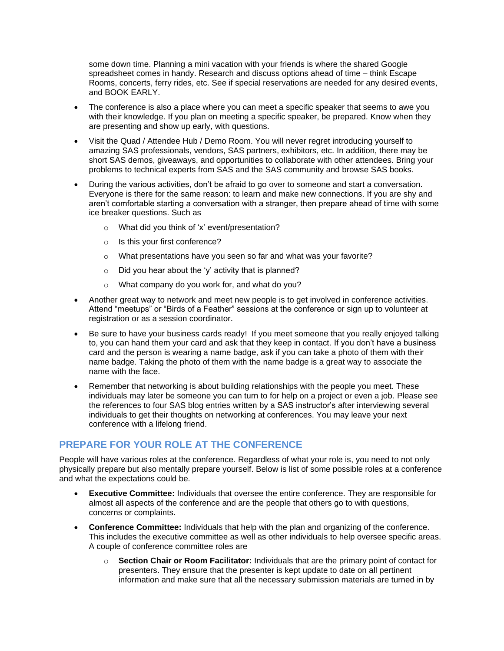some down time. Planning a mini vacation with your friends is where the shared Google spreadsheet comes in handy. Research and discuss options ahead of time – think Escape Rooms, concerts, ferry rides, etc. See if special reservations are needed for any desired events, and BOOK EARLY.

- The conference is also a place where you can meet a specific speaker that seems to awe you with their knowledge. If you plan on meeting a specific speaker, be prepared. Know when they are presenting and show up early, with questions.
- Visit the Quad / Attendee Hub / Demo Room. You will never regret introducing yourself to amazing SAS professionals, vendors, SAS partners, exhibitors, etc. In addition, there may be short SAS demos, giveaways, and opportunities to collaborate with other attendees. Bring your problems to technical experts from SAS and the SAS community and browse SAS books.
- During the various activities, don't be afraid to go over to someone and start a conversation. Everyone is there for the same reason: to learn and make new connections. If you are shy and aren't comfortable starting a conversation with a stranger, then prepare ahead of time with some ice breaker questions. Such as
	- o What did you think of 'x' event/presentation?
	- o Is this your first conference?
	- $\circ$  What presentations have you seen so far and what was your favorite?
	- $\circ$  Did you hear about the 'y' activity that is planned?
	- o What company do you work for, and what do you?
- Another great way to network and meet new people is to get involved in conference activities. Attend "meetups" or "Birds of a Feather" sessions at the conference or sign up to volunteer at registration or as a session coordinator.
- Be sure to have your business cards ready! If you meet someone that you really enjoyed talking to, you can hand them your card and ask that they keep in contact. If you don't have a business card and the person is wearing a name badge, ask if you can take a photo of them with their name badge. Taking the photo of them with the name badge is a great way to associate the name with the face.
- Remember that networking is about building relationships with the people you meet. These individuals may later be someone you can turn to for help on a project or even a job. Please see the references to four SAS blog entries written by a SAS instructor's after interviewing several individuals to get their thoughts on networking at conferences. You may leave your next conference with a lifelong friend.

## **PREPARE FOR YOUR ROLE AT THE CONFERENCE**

People will have various roles at the conference. Regardless of what your role is, you need to not only physically prepare but also mentally prepare yourself. Below is list of some possible roles at a conference and what the expectations could be.

- **Executive Committee:** Individuals that oversee the entire conference. They are responsible for almost all aspects of the conference and are the people that others go to with questions, concerns or complaints.
- **Conference Committee:** Individuals that help with the plan and organizing of the conference. This includes the executive committee as well as other individuals to help oversee specific areas. A couple of conference committee roles are
	- o **Section Chair or Room Facilitator:** Individuals that are the primary point of contact for presenters. They ensure that the presenter is kept update to date on all pertinent information and make sure that all the necessary submission materials are turned in by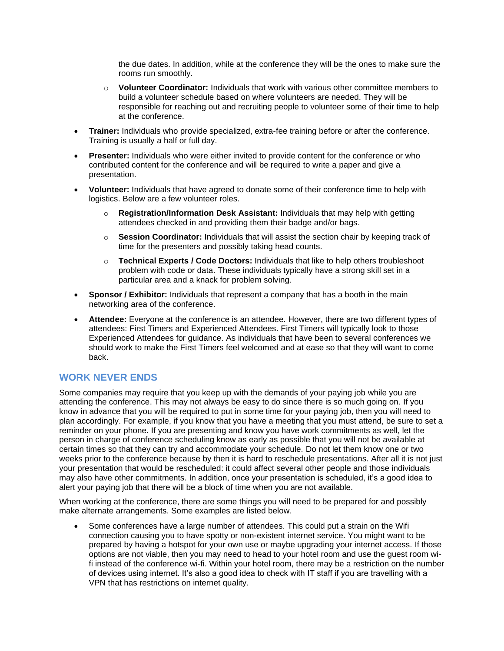the due dates. In addition, while at the conference they will be the ones to make sure the rooms run smoothly.

- o **Volunteer Coordinator:** Individuals that work with various other committee members to build a volunteer schedule based on where volunteers are needed. They will be responsible for reaching out and recruiting people to volunteer some of their time to help at the conference.
- **Trainer:** Individuals who provide specialized, extra-fee training before or after the conference. Training is usually a half or full day.
- **Presenter:** Individuals who were either invited to provide content for the conference or who contributed content for the conference and will be required to write a paper and give a presentation.
- **Volunteer:** Individuals that have agreed to donate some of their conference time to help with logistics. Below are a few volunteer roles.
	- o **Registration/Information Desk Assistant:** Individuals that may help with getting attendees checked in and providing them their badge and/or bags.
	- o **Session Coordinator:** Individuals that will assist the section chair by keeping track of time for the presenters and possibly taking head counts.
	- o **Technical Experts / Code Doctors:** Individuals that like to help others troubleshoot problem with code or data. These individuals typically have a strong skill set in a particular area and a knack for problem solving.
- **Sponsor / Exhibitor:** Individuals that represent a company that has a booth in the main networking area of the conference.
- **Attendee:** Everyone at the conference is an attendee. However, there are two different types of attendees: First Timers and Experienced Attendees. First Timers will typically look to those Experienced Attendees for guidance. As individuals that have been to several conferences we should work to make the First Timers feel welcomed and at ease so that they will want to come back.

#### **WORK NEVER ENDS**

Some companies may require that you keep up with the demands of your paying job while you are attending the conference. This may not always be easy to do since there is so much going on. If you know in advance that you will be required to put in some time for your paying job, then you will need to plan accordingly. For example, if you know that you have a meeting that you must attend, be sure to set a reminder on your phone. If you are presenting and know you have work commitments as well, let the person in charge of conference scheduling know as early as possible that you will not be available at certain times so that they can try and accommodate your schedule. Do not let them know one or two weeks prior to the conference because by then it is hard to reschedule presentations. After all it is not just your presentation that would be rescheduled: it could affect several other people and those individuals may also have other commitments. In addition, once your presentation is scheduled, it's a good idea to alert your paying job that there will be a block of time when you are not available.

When working at the conference, there are some things you will need to be prepared for and possibly make alternate arrangements. Some examples are listed below.

• Some conferences have a large number of attendees. This could put a strain on the Wifi connection causing you to have spotty or non-existent internet service. You might want to be prepared by having a hotspot for your own use or maybe upgrading your internet access. If those options are not viable, then you may need to head to your hotel room and use the guest room wifi instead of the conference wi-fi. Within your hotel room, there may be a restriction on the number of devices using internet. It's also a good idea to check with IT staff if you are travelling with a VPN that has restrictions on internet quality.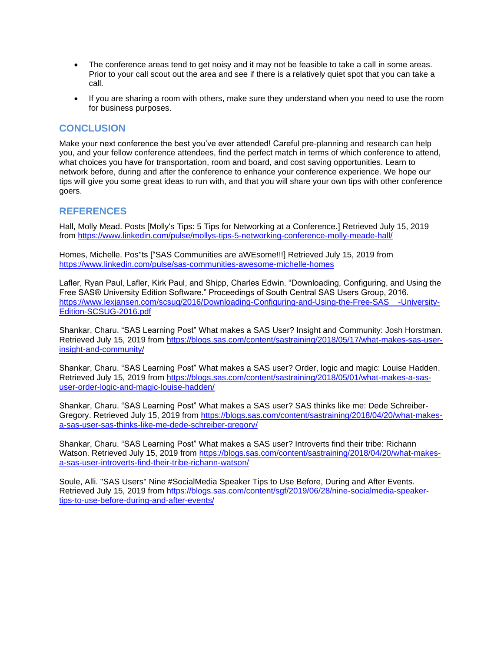- The conference areas tend to get noisy and it may not be feasible to take a call in some areas. Prior to your call scout out the area and see if there is a relatively quiet spot that you can take a call.
- If you are sharing a room with others, make sure they understand when you need to use the room for business purposes.

#### **CONCLUSION**

Make your next conference the best you've ever attended! Careful pre-planning and research can help you, and your fellow conference attendees, find the perfect match in terms of which conference to attend, what choices you have for transportation, room and board, and cost saving opportunities. Learn to network before, during and after the conference to enhance your conference experience. We hope our tips will give you some great ideas to run with, and that you will share your own tips with other conference goers.

#### **REFERENCES**

Hall, Molly Mead. Posts [Molly's Tips: 5 Tips for Networking at a Conference.] Retrieved July 15, 2019 from<https://www.linkedin.com/pulse/mollys-tips-5-networking-conference-molly-meade-hall/>

Homes, Michelle. Pos"ts ["SAS Communities are aWEsome!!!] Retrieved July 15, 2019 from <https://www.linkedin.com/pulse/sas-communities-awesome-michelle-homes>

Lafler, Ryan Paul, Lafler, Kirk Paul, and Shipp, Charles Edwin. "Downloading, Configuring, and Using the Free SAS® University Edition Software." Proceedings of South Central SAS Users Group, 2016. [https://www.lexjansen.com/scsug/2016/Downloading-Configuring-and-Using-the-Free-SAS\\_\\_-University-](https://www.lexjansen.com/scsug/2016/Downloading-Configuring-and-Using-the-Free-SAS__-University-Edition-SCSUG-2016.pdf)[Edition-SCSUG-2016.pdf](https://www.lexjansen.com/scsug/2016/Downloading-Configuring-and-Using-the-Free-SAS__-University-Edition-SCSUG-2016.pdf)

Shankar, Charu. "SAS Learning Post" What makes a SAS User? Insight and Community: Josh Horstman. Retrieved July 15, 2019 from [https://blogs.sas.com/content/sastraining/2018/05/17/what-makes-sas-user](https://blogs.sas.com/content/sastraining/2018/05/17/what-makes-sas-user-insight-and-community/)[insight-and-community/](https://blogs.sas.com/content/sastraining/2018/05/17/what-makes-sas-user-insight-and-community/)

Shankar, Charu. "SAS Learning Post" What makes a SAS user? Order, logic and magic: Louise Hadden. Retrieved July 15, 2019 from [https://blogs.sas.com/content/sastraining/2018/05/01/what-makes-a-sas](https://blogs.sas.com/content/sastraining/2018/05/01/what-makes-a-sas-user-order-logic-and-magic-louise-hadden/)[user-order-logic-and-magic-louise-hadden/](https://blogs.sas.com/content/sastraining/2018/05/01/what-makes-a-sas-user-order-logic-and-magic-louise-hadden/)

Shankar, Charu. "SAS Learning Post" What makes a SAS user? SAS thinks like me: Dede Schreiber-Gregory. Retrieved July 15, 2019 from [https://blogs.sas.com/content/sastraining/2018/04/20/what-makes](https://blogs.sas.com/content/sastraining/2018/04/20/what-makes-a-sas-user-sas-thinks-like-me-dede-schreiber-gregory/)[a-sas-user-sas-thinks-like-me-dede-schreiber-gregory/](https://blogs.sas.com/content/sastraining/2018/04/20/what-makes-a-sas-user-sas-thinks-like-me-dede-schreiber-gregory/)

Shankar, Charu. "SAS Learning Post" What makes a SAS user? Introverts find their tribe: Richann Watson. Retrieved July 15, 2019 from [https://blogs.sas.com/content/sastraining/2018/04/20/what-makes](https://blogs.sas.com/content/sastraining/2018/04/20/what-makes-a-sas-user-introverts-find-their-tribe-richann-watson/)[a-sas-user-introverts-find-their-tribe-richann-watson/](https://blogs.sas.com/content/sastraining/2018/04/20/what-makes-a-sas-user-introverts-find-their-tribe-richann-watson/)

Soule, Alli. "SAS Users" Nine #SocialMedia Speaker Tips to Use Before, During and After Events. Retrieved July 15, 2019 from [https://blogs.sas.com/content/sgf/2019/06/28/nine-socialmedia-speaker](https://blogs.sas.com/content/sgf/2019/06/28/nine-socialmedia-speaker-tips-to-use-before-during-and-after-events/)[tips-to-use-before-during-and-after-events/](https://blogs.sas.com/content/sgf/2019/06/28/nine-socialmedia-speaker-tips-to-use-before-during-and-after-events/)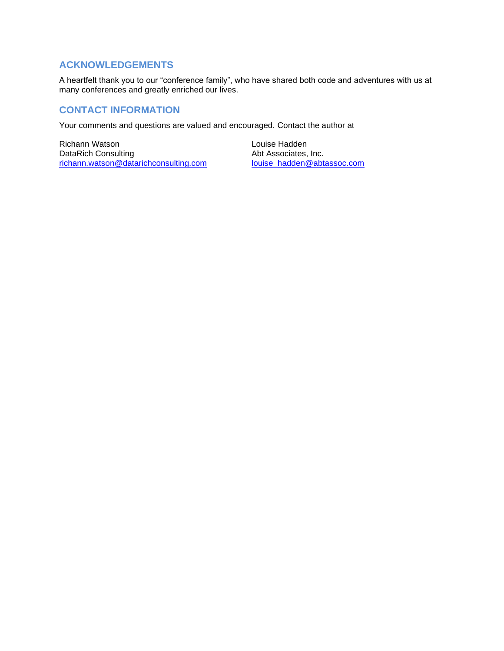## **ACKNOWLEDGEMENTS**

A heartfelt thank you to our "conference family", who have shared both code and adventures with us at many conferences and greatly enriched our lives.

## **CONTACT INFORMATION**

Your comments and questions are valued and encouraged. Contact the author at

Richann Watson DataRich Consulting [richann.watson@datarichconsulting.com](mailto:richann.watson@datarichconsulting.com) Louise Hadden Abt Associates, Inc. [louise\\_hadden@abtassoc.com](mailto:louise_hadden@abtassoc.com)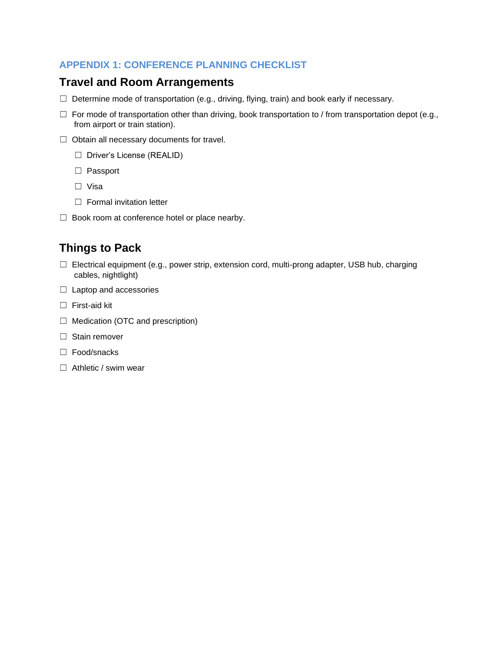## **APPENDIX 1: CONFERENCE PLANNING CHECKLIST**

## **Travel and Room Arrangements**

- ☐ Determine mode of transportation (e.g., driving, flying, train) and book early if necessary.
- $\Box$  For mode of transportation other than driving, book transportation to / from transportation depot (e.g., from airport or train station).
- ☐ Obtain all necessary documents for travel.
	- ☐ Driver's License (REALID)
	- ☐ Passport
	- ☐ Visa
	- □ Formal invitation letter
- □ Book room at conference hotel or place nearby.

# **Things to Pack**

- $\Box$  Electrical equipment (e.g., power strip, extension cord, multi-prong adapter, USB hub, charging cables, nightlight)
- ☐ Laptop and accessories
- ☐ First-aid kit
- ☐ Medication (OTC and prescription)
- □ Stain remover
- ☐ Food/snacks
- □ Athletic / swim wear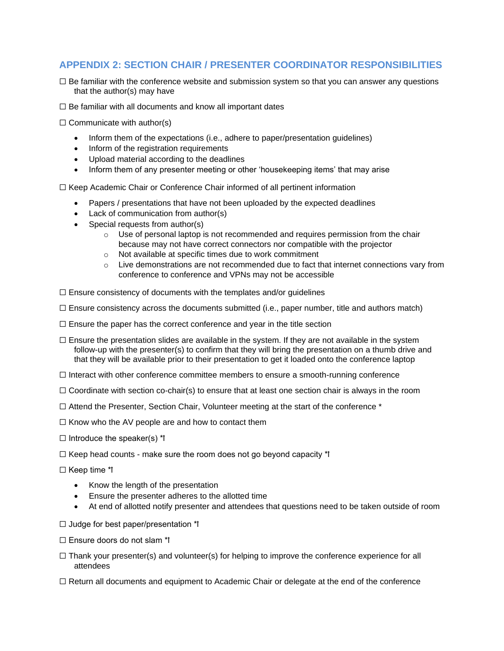## **APPENDIX 2: SECTION CHAIR / PRESENTER COORDINATOR RESPONSIBILITIES**

- $\Box$  Be familiar with the conference website and submission system so that you can answer any questions that the author(s) may have
- $\Box$  Be familiar with all documents and know all important dates
- $\Box$  Communicate with author(s)
	- Inform them of the expectations (i.e., adhere to paper/presentation guidelines)
	- Inform of the registration requirements
	- Upload material according to the deadlines
	- Inform them of any presenter meeting or other 'housekeeping items' that may arise

☐ Keep Academic Chair or Conference Chair informed of all pertinent information

- Papers / presentations that have not been uploaded by the expected deadlines
- Lack of communication from author(s)
- Special requests from author(s)
	- $\circ$  Use of personal laptop is not recommended and requires permission from the chair because may not have correct connectors nor compatible with the projector
	- o Not available at specific times due to work commitment
	- $\circ$  Live demonstrations are not recommended due to fact that internet connections vary from conference to conference and VPNs may not be accessible
- $\Box$  Ensure consistency of documents with the templates and/or guidelines
- $\Box$  Ensure consistency across the documents submitted (i.e., paper number, title and authors match)
- $\Box$  Ensure the paper has the correct conference and year in the title section
- $\Box$  Ensure the presentation slides are available in the system. If they are not available in the system follow-up with the presenter(s) to confirm that they will bring the presentation on a thumb drive and that they will be available prior to their presentation to get it loaded onto the conference laptop
- ☐ Interact with other conference committee members to ensure a smooth-running conference
- $\Box$  Coordinate with section co-chair(s) to ensure that at least one section chair is always in the room
- ☐ Attend the Presenter, Section Chair, Volunteer meeting at the start of the conference \*
- $\Box$  Know who the AV people are and how to contact them
- $\Box$  Introduce the speaker(s) \*\*
- $\Box$  Keep head counts make sure the room does not go beyond capacity \*1
- □ Keep time \*!
	- Know the length of the presentation
	- Ensure the presenter adheres to the allotted time
	- At end of allotted notify presenter and attendees that questions need to be taken outside of room
- $\Box$  Judge for best paper/presentation \*!
- $\Box$  Ensure doors do not slam  $*$
- $\Box$  Thank your presenter(s) and volunteer(s) for helping to improve the conference experience for all attendees
- $\Box$  Return all documents and equipment to Academic Chair or delegate at the end of the conference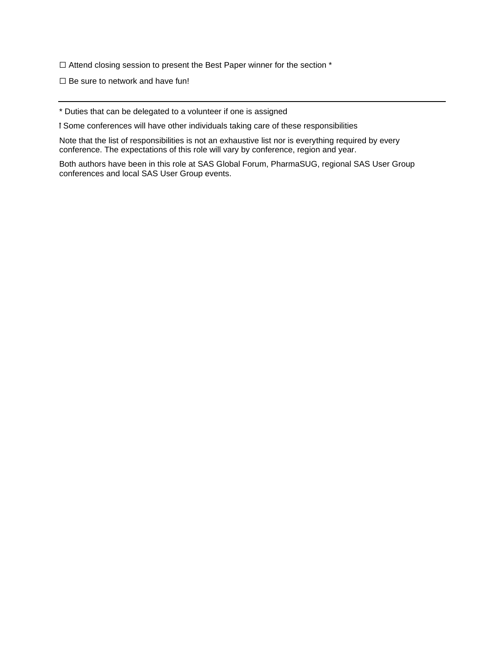☐ Attend closing session to present the Best Paper winner for the section \*

 $\Box$  Be sure to network and have fun!

\* Duties that can be delegated to a volunteer if one is assigned

ꝉ Some conferences will have other individuals taking care of these responsibilities

Note that the list of responsibilities is not an exhaustive list nor is everything required by every conference. The expectations of this role will vary by conference, region and year.

Both authors have been in this role at SAS Global Forum, PharmaSUG, regional SAS User Group conferences and local SAS User Group events.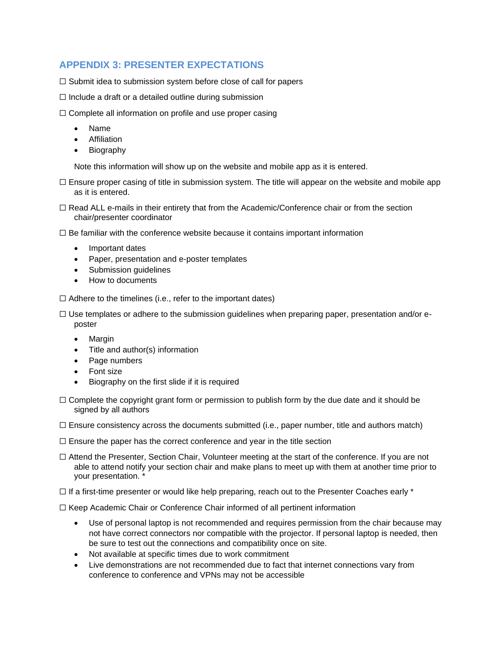## **APPENDIX 3: PRESENTER EXPECTATIONS**

☐ Submit idea to submission system before close of call for papers

- $\Box$  Include a draft or a detailed outline during submission
- □ Complete all information on profile and use proper casing
	- Name
	- Affiliation
	- **Biography**

Note this information will show up on the website and mobile app as it is entered.

- $\Box$  Ensure proper casing of title in submission system. The title will appear on the website and mobile app as it is entered.
- $\Box$  Read ALL e-mails in their entirety that from the Academic/Conference chair or from the section chair/presenter coordinator

 $\Box$  Be familiar with the conference website because it contains important information

- Important dates
- Paper, presentation and e-poster templates
- Submission guidelines
- How to documents

 $\Box$  Adhere to the timelines (i.e., refer to the important dates)

 $\Box$  Use templates or adhere to the submission quidelines when preparing paper, presentation and/or eposter

- Margin
- Title and author(s) information
- Page numbers
- Font size
- Biography on the first slide if it is required
- $\Box$  Complete the copyright grant form or permission to publish form by the due date and it should be signed by all authors
- $\Box$  Ensure consistency across the documents submitted (i.e., paper number, title and authors match)
- $\Box$  Ensure the paper has the correct conference and year in the title section
- ☐ Attend the Presenter, Section Chair, Volunteer meeting at the start of the conference. If you are not able to attend notify your section chair and make plans to meet up with them at another time prior to your presentation. \*
- ☐ If a first-time presenter or would like help preparing, reach out to the Presenter Coaches early \*

 $\Box$  Keep Academic Chair or Conference Chair informed of all pertinent information

- Use of personal laptop is not recommended and requires permission from the chair because may not have correct connectors nor compatible with the projector. If personal laptop is needed, then be sure to test out the connections and compatibility once on site.
- Not available at specific times due to work commitment
- Live demonstrations are not recommended due to fact that internet connections vary from conference to conference and VPNs may not be accessible